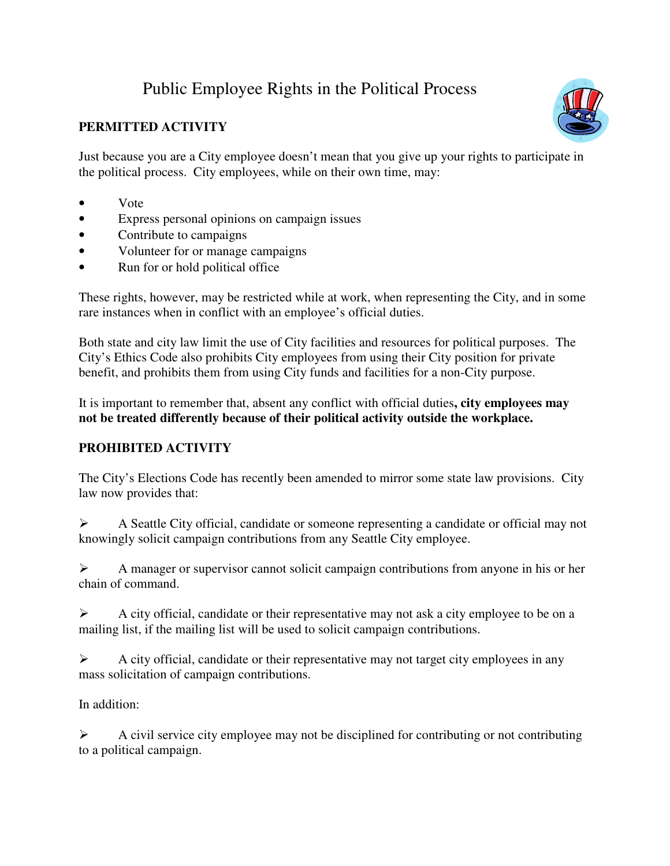## Public Employee Rights in the Political Process

## **PERMITTED ACTIVITY**

Just because you are a City employee doesn't mean that you give up your rights to participate in the political process. City employees, while on their own time, may:

- Vote
- Express personal opinions on campaign issues
- Contribute to campaigns
- Volunteer for or manage campaigns
- Run for or hold political office

These rights, however, may be restricted while at work, when representing the City, and in some rare instances when in conflict with an employee's official duties.

Both state and city law limit the use of City facilities and resources for political purposes. The City's Ethics Code also prohibits City employees from using their City position for private benefit, and prohibits them from using City funds and facilities for a non-City purpose.

It is important to remember that, absent any conflict with official duties**, city employees may not be treated differently because of their political activity outside the workplace.**

## **PROHIBITED ACTIVITY**

The City's Elections Code has recently been amended to mirror some state law provisions. City law now provides that:

 A Seattle City official, candidate or someone representing a candidate or official may not knowingly solicit campaign contributions from any Seattle City employee.

 A manager or supervisor cannot solicit campaign contributions from anyone in his or her chain of command.

 $\triangleright$  A city official, candidate or their representative may not ask a city employee to be on a mailing list, if the mailing list will be used to solicit campaign contributions.

 $\triangleright$  A city official, candidate or their representative may not target city employees in any mass solicitation of campaign contributions.

In addition:

 $\triangleright$  A civil service city employee may not be disciplined for contributing or not contributing to a political campaign.